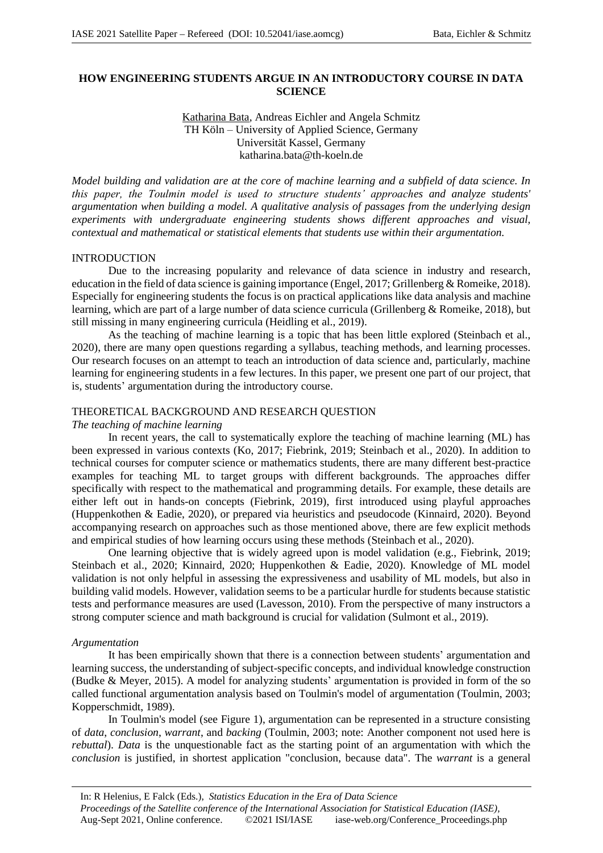# **HOW ENGINEERING STUDENTS ARGUE IN AN INTRODUCTORY COURSE IN DATA SCIENCE**

## Katharina Bata, Andreas Eichler and Angela Schmitz TH Köln – University of Applied Science, Germany Universität Kassel, Germany katharina.bata@th-koeln.de

*Model building and validation are at the core of machine learning and a subfield of data science. In this paper, the Toulmin model is used to structure students' approaches and analyze students' argumentation when building a model. A qualitative analysis of passages from the underlying design experiments with undergraduate engineering students shows different approaches and visual, contextual and mathematical or statistical elements that students use within their argumentation.*

## INTRODUCTION

Due to the increasing popularity and relevance of data science in industry and research, education in the field of data science is gaining importance (Engel, 2017; Grillenberg & Romeike, 2018). Especially for engineering students the focus is on practical applications like data analysis and machine learning, which are part of a large number of data science curricula (Grillenberg & Romeike, 2018), but still missing in many engineering curricula (Heidling et al., 2019).

As the teaching of machine learning is a topic that has been little explored (Steinbach et al., 2020), there are many open questions regarding a syllabus, teaching methods, and learning processes. Our research focuses on an attempt to teach an introduction of data science and, particularly, machine learning for engineering students in a few lectures. In this paper, we present one part of our project, that is, students' argumentation during the introductory course.

## THEORETICAL BACKGROUND AND RESEARCH QUESTION

*The teaching of machine learning* 

In recent years, the call to systematically explore the teaching of machine learning (ML) has been expressed in various contexts (Ko, 2017; Fiebrink, 2019; Steinbach et al., 2020). In addition to technical courses for computer science or mathematics students, there are many different best-practice examples for teaching ML to target groups with different backgrounds. The approaches differ specifically with respect to the mathematical and programming details. For example, these details are either left out in hands-on concepts (Fiebrink, 2019), first introduced using playful approaches (Huppenkothen & Eadie, 2020), or prepared via heuristics and pseudocode (Kinnaird, 2020). Beyond accompanying research on approaches such as those mentioned above, there are few explicit methods and empirical studies of how learning occurs using these methods (Steinbach et al., 2020).

One learning objective that is widely agreed upon is model validation (e.g., Fiebrink, 2019; Steinbach et al., 2020; Kinnaird, 2020; Huppenkothen & Eadie, 2020). Knowledge of ML model validation is not only helpful in assessing the expressiveness and usability of ML models, but also in building valid models. However, validation seems to be a particular hurdle for students because statistic tests and performance measures are used (Lavesson, 2010). From the perspective of many instructors a strong computer science and math background is crucial for validation (Sulmont et al., 2019).

### *Argumentation*

It has been empirically shown that there is a connection between students' argumentation and learning success, the understanding of subject-specific concepts, and individual knowledge construction (Budke & Meyer, 2015). A model for analyzing students' argumentation is provided in form of the so called functional argumentation analysis based on Toulmin's model of argumentation (Toulmin, 2003; Kopperschmidt, 1989).

In Toulmin's model (see Figure 1), argumentation can be represented in a structure consisting of *data*, *conclusion*, *warrant*, and *backing* (Toulmin, 2003; note: Another component not used here is *rebuttal*). *Data* is the unquestionable fact as the starting point of an argumentation with which the *conclusion* is justified, in shortest application "conclusion, because data". The *warrant* is a general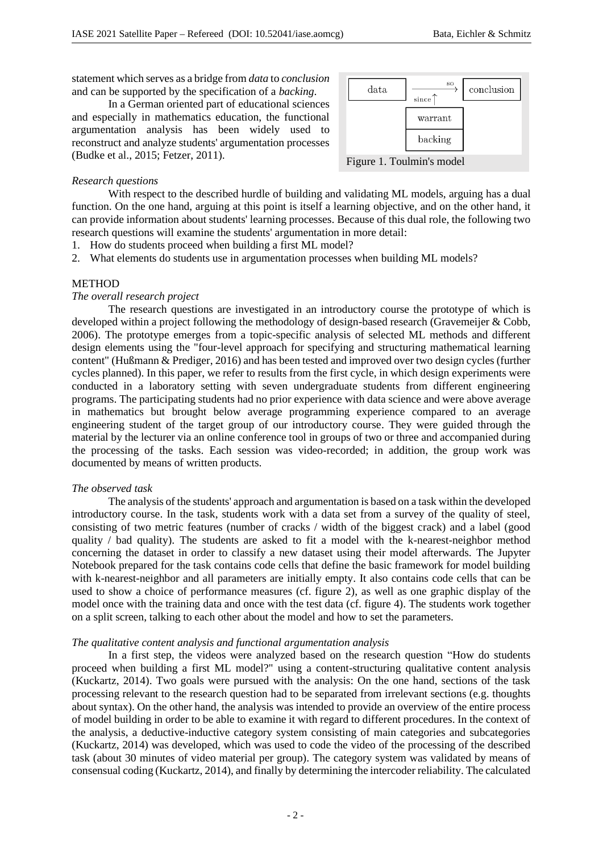statement which serves as a bridge from *data* to *conclusion* and can be supported by the specification of a *backing*.

In a German oriented part of educational sciences and especially in mathematics education, the functional argumentation analysis has been widely used to reconstruct and analyze students' argumentation processes (Budke et al., 2015; Fetzer, 2011).



#### *Research questions*

With respect to the described hurdle of building and validating ML models, arguing has a dual function. On the one hand, arguing at this point is itself a learning objective, and on the other hand, it can provide information about students' learning processes. Because of this dual role, the following two research questions will examine the students' argumentation in more detail:

1. How do students proceed when building a first ML model?

2. What elements do students use in argumentation processes when building ML models?

## METHOD

### *The overall research project*

The research questions are investigated in an introductory course the prototype of which is developed within a project following the methodology of design-based research (Gravemeijer & Cobb, 2006). The prototype emerges from a topic-specific analysis of selected ML methods and different design elements using the "four-level approach for specifying and structuring mathematical learning content" (Hußmann & Prediger, 2016) and has been tested and improved over two design cycles (further cycles planned). In this paper, we refer to results from the first cycle, in which design experiments were conducted in a laboratory setting with seven undergraduate students from different engineering programs. The participating students had no prior experience with data science and were above average in mathematics but brought below average programming experience compared to an average engineering student of the target group of our introductory course. They were guided through the material by the lecturer via an online conference tool in groups of two or three and accompanied during the processing of the tasks. Each session was video-recorded; in addition, the group work was documented by means of written products.

#### *The observed task*

The analysis of the students' approach and argumentation is based on a task within the developed introductory course. In the task, students work with a data set from a survey of the quality of steel, consisting of two metric features (number of cracks / width of the biggest crack) and a label (good quality / bad quality). The students are asked to fit a model with the k-nearest-neighbor method concerning the dataset in order to classify a new dataset using their model afterwards. The Jupyter Notebook prepared for the task contains code cells that define the basic framework for model building with k-nearest-neighbor and all parameters are initially empty. It also contains code cells that can be used to show a choice of performance measures (cf. figure 2), as well as one graphic display of the model once with the training data and once with the test data (cf. figure 4). The students work together on a split screen, talking to each other about the model and how to set the parameters.

#### *The qualitative content analysis and functional argumentation analysis*

In a first step, the videos were analyzed based on the research question "How do students proceed when building a first ML model?" using a content-structuring qualitative content analysis (Kuckartz, 2014). Two goals were pursued with the analysis: On the one hand, sections of the task processing relevant to the research question had to be separated from irrelevant sections (e.g. thoughts about syntax). On the other hand, the analysis was intended to provide an overview of the entire process of model building in order to be able to examine it with regard to different procedures. In the context of the analysis, a deductive-inductive category system consisting of main categories and subcategories (Kuckartz, 2014) was developed, which was used to code the video of the processing of the described task (about 30 minutes of video material per group). The category system was validated by means of consensual coding (Kuckartz, 2014), and finally by determining the intercoder reliability. The calculated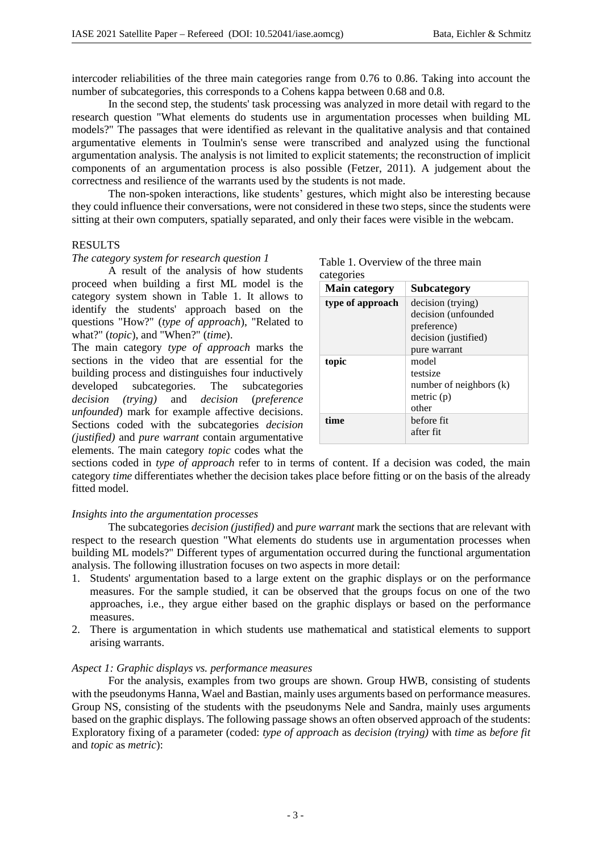intercoder reliabilities of the three main categories range from 0.76 to 0.86. Taking into account the number of subcategories, this corresponds to a Cohens kappa between 0.68 and 0.8.

In the second step, the students' task processing was analyzed in more detail with regard to the research question "What elements do students use in argumentation processes when building ML models?" The passages that were identified as relevant in the qualitative analysis and that contained argumentative elements in Toulmin's sense were transcribed and analyzed using the functional argumentation analysis. The analysis is not limited to explicit statements; the reconstruction of implicit components of an argumentation process is also possible (Fetzer, 2011). A judgement about the correctness and resilience of the warrants used by the students is not made.

The non-spoken interactions, like students' gestures, which might also be interesting because they could influence their conversations, were not considered in these two steps, since the students were sitting at their own computers, spatially separated, and only their faces were visible in the webcam.

#### RESULTS

#### *The category system for research question 1*

A result of the analysis of how students proceed when building a first ML model is the category system shown in Table 1. It allows to identify the students' approach based on the questions "How?" (*type of approach*), "Related to what?" (*topic*), and "When?" (*time*).

The main category *type of approach* marks the sections in the video that are essential for the building process and distinguishes four inductively developed subcategories. The subcategories *decision (trying)* and *decision* (*preference unfounded*) mark for example affective decisions. Sections coded with the subcategories *decision (justified)* and *pure warrant* contain argumentative elements. The main category *topic* codes what the

| <b>Main category</b> | <b>Subcategory</b>      |
|----------------------|-------------------------|
| type of approach     | decision (trying)       |
|                      | decision (unfounded     |
|                      | preference)             |
|                      | decision (justified)    |
|                      | pure warrant            |
| topic                | model                   |
|                      | testsize                |
|                      | number of neighbors (k) |
|                      | metric $(p)$            |
|                      | other                   |
| time                 | before fit              |
|                      | after fit               |

Table 1. Overview of the three main

sections coded in *type of approach* refer to in terms of content. If a decision was coded, the main category *time* differentiates whether the decision takes place before fitting or on the basis of the already fitted model.

## *Insights into the argumentation processes*

The subcategories *decision (justified)* and *pure warrant* mark the sections that are relevant with respect to the research question "What elements do students use in argumentation processes when building ML models?" Different types of argumentation occurred during the functional argumentation analysis. The following illustration focuses on two aspects in more detail:

- 1. Students' argumentation based to a large extent on the graphic displays or on the performance measures. For the sample studied, it can be observed that the groups focus on one of the two approaches, i.e., they argue either based on the graphic displays or based on the performance measures.
- 2. There is argumentation in which students use mathematical and statistical elements to support arising warrants.

#### *Aspect 1: Graphic displays vs. performance measures*

For the analysis, examples from two groups are shown. Group HWB, consisting of students with the pseudonyms Hanna, Wael and Bastian, mainly uses arguments based on performance measures. Group NS, consisting of the students with the pseudonyms Nele and Sandra, mainly uses arguments based on the graphic displays. The following passage shows an often observed approach of the students: Exploratory fixing of a parameter (coded: *type of approach* as *decision (trying)* with *time* as *before fit* and *topic* as *metric*):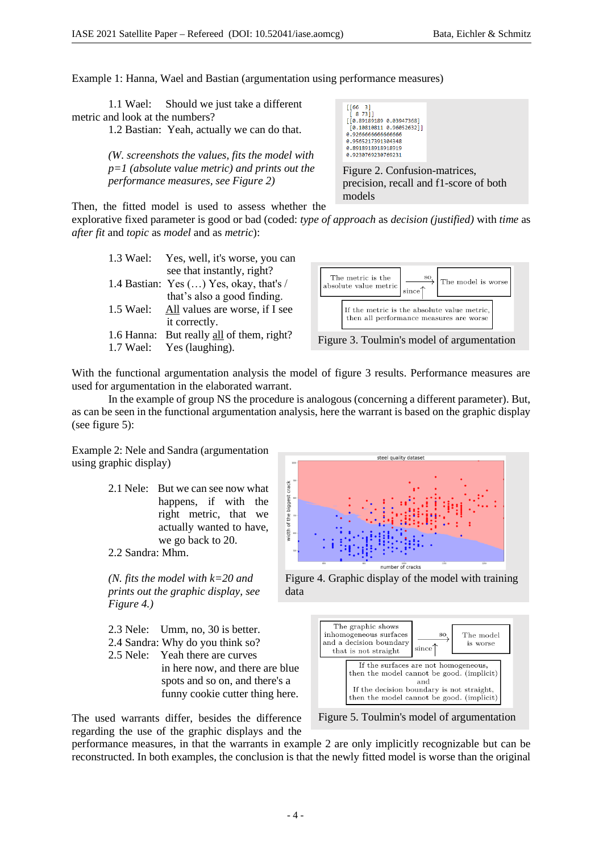Example 1: Hanna, Wael and Bastian (argumentation using performance measures)

| 1.1 Wael: Should we just take a different                                                                                                                                                                                                                                                                                                                                            |  |  |  |
|--------------------------------------------------------------------------------------------------------------------------------------------------------------------------------------------------------------------------------------------------------------------------------------------------------------------------------------------------------------------------------------|--|--|--|
| metric and look at the numbers?                                                                                                                                                                                                                                                                                                                                                      |  |  |  |
| $\overline{1}$ $\overline{2}$ $\overline{1}$ $\overline{1}$ $\overline{1}$ $\overline{1}$ $\overline{1}$ $\overline{1}$ $\overline{1}$ $\overline{1}$ $\overline{1}$ $\overline{1}$ $\overline{1}$ $\overline{1}$ $\overline{1}$ $\overline{1}$ $\overline{1}$ $\overline{1}$ $\overline{1}$ $\overline{1}$ $\overline{1}$ $\overline{1}$ $\overline{1}$ $\overline{1}$ $\overline{$ |  |  |  |

1.2 Bastian: Yeah, actually we can do that.

*(W. screenshots the values, fits the model with p=1 (absolute value metric) and prints out the performance measures, see Figure 2)*

 $[[66 \t3] \t58 \t73]]$ [8,89189189 8.83947368]  $[0.10810811 0.96052632]$ 0.926666666666666 8.9565217391384348 0.8918918918918919 0.9230769230769231

Figure 2. Confusion-matrices, precision, recall and f1-score of both models

Then, the fitted model is used to assess whether the

explorative fixed parameter is good or bad (coded: *type of approach* as *decision (justified)* with *time* as *after fit* and *topic* as *model* and as *metric*):

|            | 1.3 Wael: Yes, well, it's worse, you can |
|------------|------------------------------------------|
|            | see that instantly, right?               |
|            | 1.4 Bastian: Yes () Yes, okay, that's /  |
|            | that's also a good finding.              |
| 1.5 Wael:  | All values are worse, if I see           |
|            | it correctly.                            |
| 1.6 Hanna: | But really all of them, right?           |
|            | 1.7 Wael: Yes (laughing).                |



With the functional argumentation analysis the model of figure 3 results. Performance measures are used for argumentation in the elaborated warrant.

In the example of group NS the procedure is analogous (concerning a different parameter). But, as can be seen in the functional argumentation analysis, here the warrant is based on the graphic display (see figure 5):

Example 2: Nele and Sandra (argumentation using graphic display)

> 2.1 Nele: But we can see now what happens, if with the right metric, that we actually wanted to have, we go back to 20. 2.2 Sandra: Mhm.

*(N. fits the model with k=20 and prints out the graphic display, see Figure 4.)*

- 2.3 Nele: Umm, no, 30 is better. 2.4 Sandra: Why do you think so?
- 2.5 Nele: Yeah there are curves in here now, and there are blue

 spots and so on, and there's a funny cookie cutter thing here.

The used warrants differ, besides the difference regarding the use of the graphic displays and the



steel quality dataset

Figure 4. Graphic display of the model with training data



Figure 5. Toulmin's model of argumentation

performance measures, in that the warrants in example 2 are only implicitly recognizable but can be reconstructed. In both examples, the conclusion is that the newly fitted model is worse than the original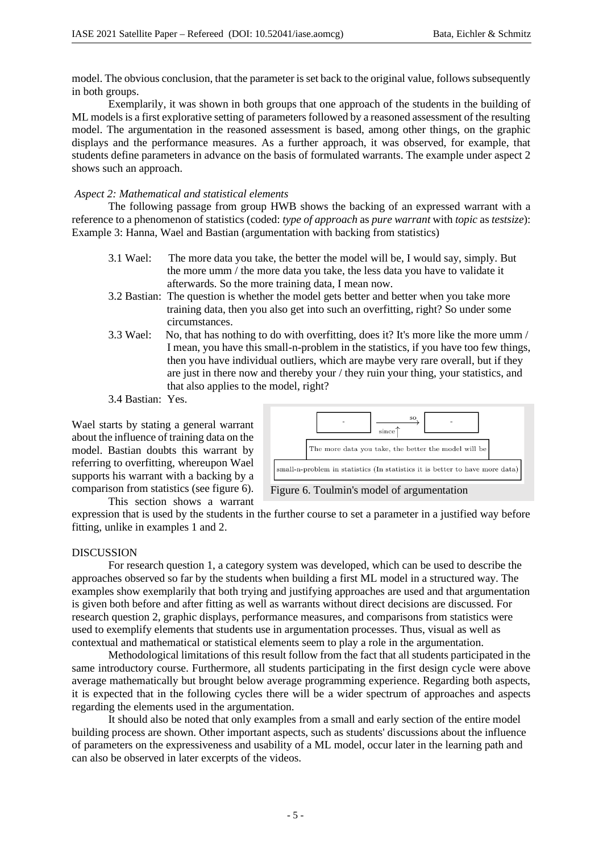model. The obvious conclusion, that the parameter is set back to the original value, follows subsequently in both groups.

Exemplarily, it was shown in both groups that one approach of the students in the building of ML models is a first explorative setting of parameters followed by a reasoned assessment of the resulting model. The argumentation in the reasoned assessment is based, among other things, on the graphic displays and the performance measures. As a further approach, it was observed, for example, that students define parameters in advance on the basis of formulated warrants. The example under aspect 2 shows such an approach.

# *Aspect 2: Mathematical and statistical elements*

The following passage from group HWB shows the backing of an expressed warrant with a reference to a phenomenon of statistics (coded: *type of approach* as *pure warrant* with *topic* as *testsize*): Example 3: Hanna, Wael and Bastian (argumentation with backing from statistics)

- 3.1 Wael: The more data you take, the better the model will be, I would say, simply. But the more umm / the more data you take, the less data you have to validate it afterwards. So the more training data, I mean now.
- 3.2 Bastian: The question is whether the model gets better and better when you take more training data, then you also get into such an overfitting, right? So under some circumstances.
- 3.3 Wael: No, that has nothing to do with overfitting, does it? It's more like the more umm / I mean, you have this small-n-problem in the statistics, if you have too few things, then you have individual outliers, which are maybe very rare overall, but if they are just in there now and thereby your / they ruin your thing, your statistics, and that also applies to the model, right?
- 3.4 Bastian: Yes.

Wael starts by stating a general warrant about the influence of training data on the model. Bastian doubts this warrant by referring to overfitting, whereupon Wael supports his warrant with a backing by a comparison from statistics (see figure 6). This section shows a warrant



Figure 6. Toulmin's model of argumentation

expression that is used by the students in the further course to set a parameter in a justified way before fitting, unlike in examples 1 and 2.

## DISCUSSION

For research question 1, a category system was developed, which can be used to describe the approaches observed so far by the students when building a first ML model in a structured way. The examples show exemplarily that both trying and justifying approaches are used and that argumentation is given both before and after fitting as well as warrants without direct decisions are discussed. For research question 2, graphic displays, performance measures, and comparisons from statistics were used to exemplify elements that students use in argumentation processes. Thus, visual as well as contextual and mathematical or statistical elements seem to play a role in the argumentation.

Methodological limitations of this result follow from the fact that all students participated in the same introductory course. Furthermore, all students participating in the first design cycle were above average mathematically but brought below average programming experience. Regarding both aspects, it is expected that in the following cycles there will be a wider spectrum of approaches and aspects regarding the elements used in the argumentation.

It should also be noted that only examples from a small and early section of the entire model building process are shown. Other important aspects, such as students' discussions about the influence of parameters on the expressiveness and usability of a ML model, occur later in the learning path and can also be observed in later excerpts of the videos.